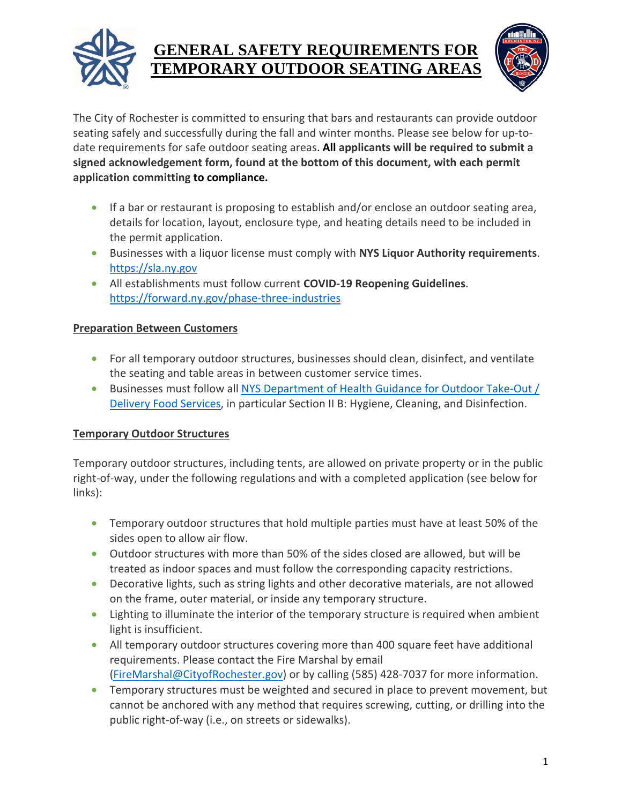



The City of Rochester is committed to ensuring that bars and restaurants can provide outdoor seating safely and successfully during the fall and winter months. Please see below for up-todate requirements for safe outdoor seating areas. **All applicants will be required to submit a signed acknowledgement form, found at the bottom of this document, with each permit application committing to compliance.**

- If a bar or restaurant is proposing to establish and/or enclose an outdoor seating area, details for location, layout, enclosure type, and heating details need to be included in the permit application.
- Businesses with a liquor license must comply with **NYS Liquor Authority requirements**. https://sla.ny.gov
- All establishments must follow current **COVID-19 Reopening Guidelines**. https://forward.ny.gov/phase-three-industries

### **Preparation Between Customers**

- For all temporary outdoor structures, businesses should clean, disinfect, and ventilate the seating and table areas in between customer service times.
- Businesses must follow all NYS Department of Health Guidance for Outdoor Take-Out / Delivery Food Services, in particular Section II B: Hygiene, Cleaning, and Disinfection.

## **Temporary Outdoor Structures**

Temporary outdoor structures, including tents, are allowed on private property or in the public right-of-way, under the following regulations and with a completed application (see below for links):

- Temporary outdoor structures that hold multiple parties must have at least 50% of the sides open to allow air flow.
- Outdoor structures with more than 50% of the sides closed are allowed, but will be treated as indoor spaces and must follow the corresponding capacity restrictions.
- Decorative lights, such as string lights and other decorative materials, are not allowed on the frame, outer material, or inside any temporary structure.
- Lighting to illuminate the interior of the temporary structure is required when ambient light is insufficient.
- All temporary outdoor structures covering more than 400 square feet have additional requirements. Please contact the Fire Marshal by email (FireMarshal@CityofRochester.gov) or by calling (585) 428-7037 for more information.
- Temporary structures must be weighted and secured in place to prevent movement, but cannot be anchored with any method that requires screwing, cutting, or drilling into the public right-of-way (i.e., on streets or sidewalks).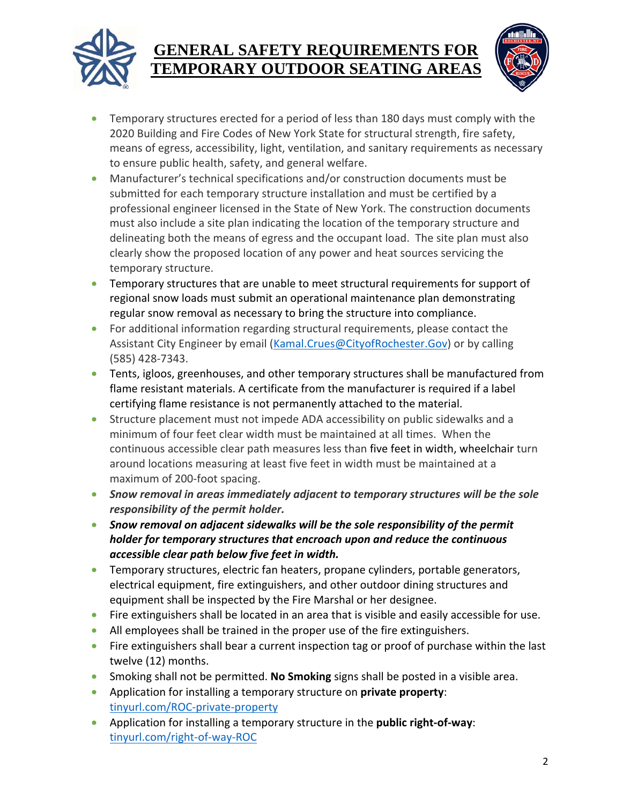



- Temporary structures erected for a period of less than 180 days must comply with the 2020 Building and Fire Codes of New York State for structural strength, fire safety, means of egress, accessibility, light, ventilation, and sanitary requirements as necessary to ensure public health, safety, and general welfare.
- Manufacturer's technical specifications and/or construction documents must be submitted for each temporary structure installation and must be certified by a professional engineer licensed in the State of New York. The construction documents must also include a site plan indicating the location of the temporary structure and delineating both the means of egress and the occupant load. The site plan must also clearly show the proposed location of any power and heat sources servicing the temporary structure.
- Temporary structures that are unable to meet structural requirements for support of regional snow loads must submit an operational maintenance plan demonstrating regular snow removal as necessary to bring the structure into compliance.
- For additional information regarding structural requirements, please contact the Assistant City Engineer by email (Kamal.Crues@CityofRochester.Gov) or by calling (585) 428-7343.
- Tents, igloos, greenhouses, and other temporary structures shall be manufactured from flame resistant materials. A certificate from the manufacturer is required if a label certifying flame resistance is not permanently attached to the material.
- Structure placement must not impede ADA accessibility on public sidewalks and a minimum of four feet clear width must be maintained at all times. When the continuous accessible clear path measures less than five feet in width, wheelchair turn around locations measuring at least five feet in width must be maintained at a maximum of 200-foot spacing.
- *Snow removal in areas immediately adjacent to temporary structures will be the sole responsibility of the permit holder.*
- *Snow removal on adjacent sidewalks will be the sole responsibility of the permit holder for temporary structures that encroach upon and reduce the continuous accessible clear path below five feet in width.*
- Temporary structures, electric fan heaters, propane cylinders, portable generators, electrical equipment, fire extinguishers, and other outdoor dining structures and equipment shall be inspected by the Fire Marshal or her designee.
- Fire extinguishers shall be located in an area that is visible and easily accessible for use.
- All employees shall be trained in the proper use of the fire extinguishers.
- Fire extinguishers shall bear a current inspection tag or proof of purchase within the last twelve (12) months.
- Smoking shall not be permitted. **No Smoking** signs shall be posted in a visible area.
- Application for installing a temporary structure on **private property**: tinyurl.com/ROC-private-property
- Application for installing a temporary structure in the **public right-of-way**: tinyurl.com/right-of-way-ROC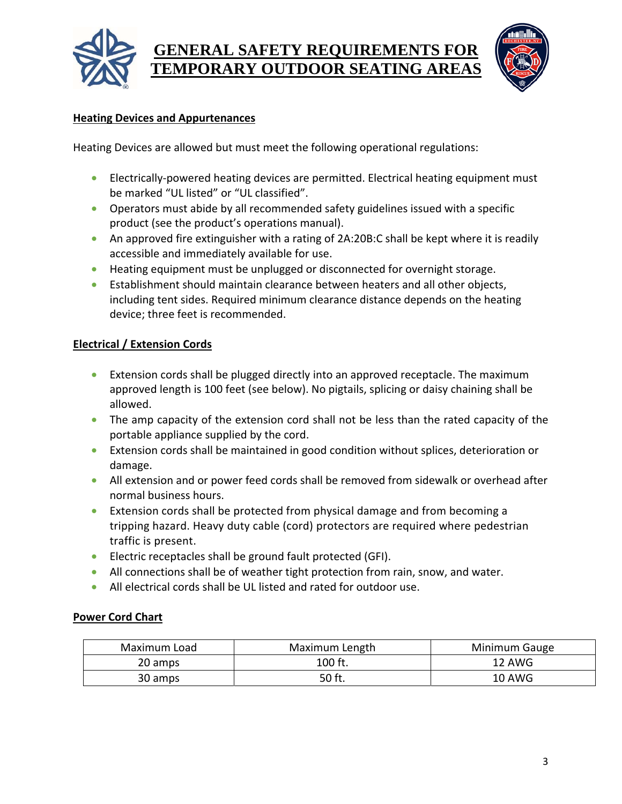



#### **Heating Devices and Appurtenances**

Heating Devices are allowed but must meet the following operational regulations:

- Electrically-powered heating devices are permitted. Electrical heating equipment must be marked "UL listed" or "UL classified".
- Operators must abide by all recommended safety guidelines issued with a specific product (see the product's operations manual).
- An approved fire extinguisher with a rating of 2A:20B:C shall be kept where it is readily accessible and immediately available for use.
- Heating equipment must be unplugged or disconnected for overnight storage.
- Establishment should maintain clearance between heaters and all other objects, including tent sides. Required minimum clearance distance depends on the heating device; three feet is recommended.

### **Electrical / Extension Cords**

- Extension cords shall be plugged directly into an approved receptacle. The maximum approved length is 100 feet (see below). No pigtails, splicing or daisy chaining shall be allowed.
- The amp capacity of the extension cord shall not be less than the rated capacity of the portable appliance supplied by the cord.
- Extension cords shall be maintained in good condition without splices, deterioration or damage.
- All extension and or power feed cords shall be removed from sidewalk or overhead after normal business hours.
- Extension cords shall be protected from physical damage and from becoming a tripping hazard. Heavy duty cable (cord) protectors are required where pedestrian traffic is present.
- Electric receptacles shall be ground fault protected (GFI).
- All connections shall be of weather tight protection from rain, snow, and water.
- All electrical cords shall be UL listed and rated for outdoor use.

#### **Power Cord Chart**

| Maximum Load | Maximum Length | Minimum Gauge |
|--------------|----------------|---------------|
| 20 amps      | $100$ ft.      | 12 AWG        |
| 30 amps      | 50 ft.         | <b>10 AWG</b> |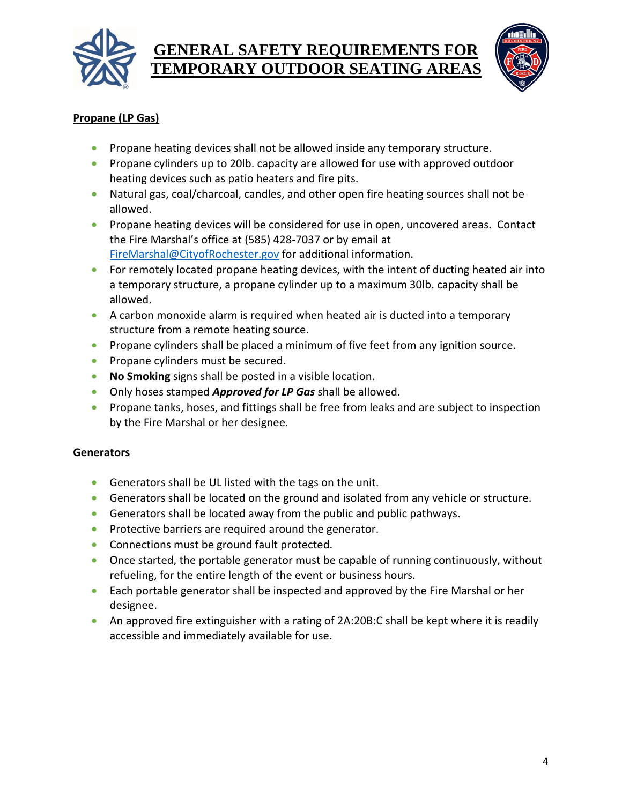



## **Propane (LP Gas)**

- Propane heating devices shall not be allowed inside any temporary structure.
- Propane cylinders up to 20lb. capacity are allowed for use with approved outdoor heating devices such as patio heaters and fire pits.
- Natural gas, coal/charcoal, candles, and other open fire heating sources shall not be allowed.
- Propane heating devices will be considered for use in open, uncovered areas. Contact the Fire Marshal's office at (585) 428-7037 or by email at FireMarshal@CityofRochester.gov for additional information.
- For remotely located propane heating devices, with the intent of ducting heated air into a temporary structure, a propane cylinder up to a maximum 30lb. capacity shall be allowed.
- A carbon monoxide alarm is required when heated air is ducted into a temporary structure from a remote heating source.
- Propane cylinders shall be placed a minimum of five feet from any ignition source.
- Propane cylinders must be secured.
- **No Smoking** signs shall be posted in a visible location.
- Only hoses stamped *Approved for LP Gas* shall be allowed.
- Propane tanks, hoses, and fittings shall be free from leaks and are subject to inspection by the Fire Marshal or her designee.

## **Generators**

- Generators shall be UL listed with the tags on the unit.
- Generators shall be located on the ground and isolated from any vehicle or structure.
- Generators shall be located away from the public and public pathways.
- Protective barriers are required around the generator.
- Connections must be ground fault protected.
- Once started, the portable generator must be capable of running continuously, without refueling, for the entire length of the event or business hours.
- Each portable generator shall be inspected and approved by the Fire Marshal or her designee.
- An approved fire extinguisher with a rating of 2A:20B:C shall be kept where it is readily accessible and immediately available for use.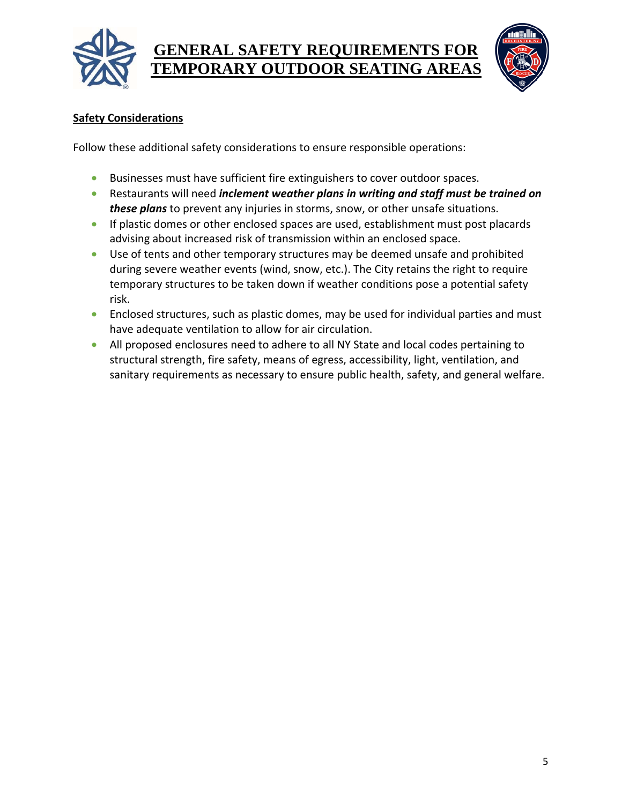



## **Safety Considerations**

Follow these additional safety considerations to ensure responsible operations:

- Businesses must have sufficient fire extinguishers to cover outdoor spaces.
- Restaurants will need *inclement weather plans in writing and staff must be trained on these plans* to prevent any injuries in storms, snow, or other unsafe situations.
- If plastic domes or other enclosed spaces are used, establishment must post placards advising about increased risk of transmission within an enclosed space.
- Use of tents and other temporary structures may be deemed unsafe and prohibited during severe weather events (wind, snow, etc.). The City retains the right to require temporary structures to be taken down if weather conditions pose a potential safety risk.
- Enclosed structures, such as plastic domes, may be used for individual parties and must have adequate ventilation to allow for air circulation.
- All proposed enclosures need to adhere to all NY State and local codes pertaining to structural strength, fire safety, means of egress, accessibility, light, ventilation, and sanitary requirements as necessary to ensure public health, safety, and general welfare.